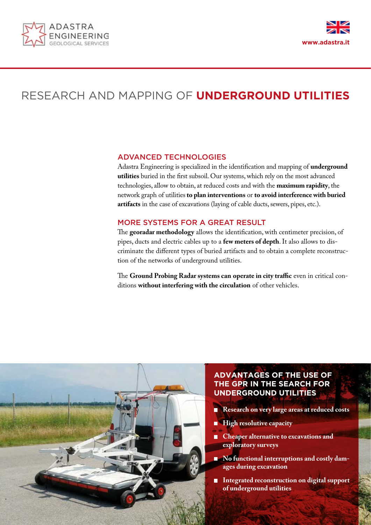



# RESEARCH AND MAPPING OF **UNDERGROUND UTILITIES**

### ADVANCED TECHNOLOGIES

Adastra Engineering is specialized in the identification and mapping of **underground utilities** buried in the first subsoil. Our systems, which rely on the most advanced technologies, allow to obtain, at reduced costs and with the **maximum rapidity**, the network graph of utilities **to plan interventions** or **to avoid interference with buried artifacts** in the case of excavations (laying of cable ducts, sewers, pipes, etc.).

# MORE SYSTEMS FOR A GREAT RESULT

The **georadar methodology** allows the identification, with centimeter precision, of pipes, ducts and electric cables up to a **few meters of depth**. It also allows to discriminate the different types of buried artifacts and to obtain a complete reconstruction of the networks of underground utilities.

The **Ground Probing Radar systems can operate in city traffic** even in critical conditions **without interfering with the circulation** of other vehicles.



# **ADVANTAGES OF THE USE OF THE GPR IN THE SEARCH FOR UNDERGROUND UTILITIES**

- **Research on very large areas at reduced costs** П
- $\Box$ **High resolutive capacity**
- **Cheaper alternative to excavations and**   $\blacksquare$ **exploratory surveys**
- No functional interruptions and costly dam**ages during excavation**
- **Integrated reconstruction on digital support of underground utilities**